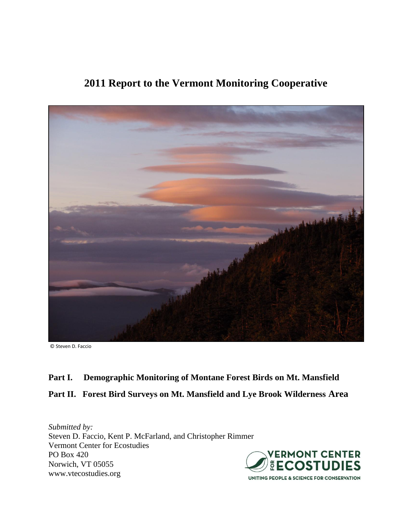

# **2011 Report to the Vermont Monitoring Cooperative**

© Steven D. Faccio

## **Part I. Demographic Monitoring of Montane Forest Birds on Mt. Mansfield**

# **Part II. Forest Bird Surveys on Mt. Mansfield and Lye Brook Wilderness Area**

*Submitted by:* Steven D. Faccio, Kent P. McFarland, and Christopher Rimmer Vermont Center for Ecostudies PO Box 420 Norwich, VT 05055 www.vtecostudies.org

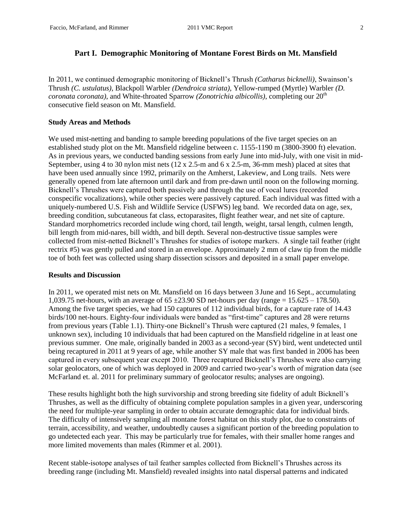## **Part I. Demographic Monitoring of Montane Forest Birds on Mt. Mansfield**

In 2011, we continued demographic monitoring of Bicknell's Thrush *(Catharus bicknelli)*, Swainson's Thrush *(C. ustulatus)*, Blackpoll Warbler *(Dendroica striata)*, Yellow-rumped (Myrtle) Warbler *(D. coronata coronata*), and White-throated Sparrow *(Zonotrichia albicollis)*, completing our 20<sup>th</sup> consecutive field season on Mt. Mansfield.

## **Study Areas and Methods**

We used mist-netting and banding to sample breeding populations of the five target species on an established study plot on the Mt. Mansfield ridgeline between c. 1155-1190 m (3800-3900 ft) elevation. As in previous years, we conducted banding sessions from early June into mid-July, with one visit in mid-September, using 4 to 30 nylon mist nets  $(12 \times 2.5 \text{--} \text{m} \text{ and } 6 \times 2.5 \text{--} \text{m}$ , 36-mm mesh) placed at sites that have been used annually since 1992, primarily on the Amherst, Lakeview, and Long trails. Nets were generally opened from late afternoon until dark and from pre-dawn until noon on the following morning. Bicknell's Thrushes were captured both passively and through the use of vocal lures (recorded conspecific vocalizations), while other species were passively captured. Each individual was fitted with a uniquely-numbered U.S. Fish and Wildlife Service (USFWS) leg band. We recorded data on age, sex, breeding condition, subcutaneous fat class, ectoparasites, flight feather wear, and net site of capture. Standard morphometrics recorded include wing chord, tail length, weight, tarsal length, culmen length, bill length from mid-nares, bill width, and bill depth. Several non-destructive tissue samples were collected from mist-netted Bicknell's Thrushes for studies of isotope markers. A single tail feather (right rectrix #5) was gently pulled and stored in an envelope. Approximately 2 mm of claw tip from the middle toe of both feet was collected using sharp dissection scissors and deposited in a small paper envelope.

## **Results and Discussion**

In 2011, we operated mist nets on Mt. Mansfield on 16 days between 3 June and 16 Sept., accumulating 1,039.75 net-hours, with an average of  $65 \pm 23.90$  SD net-hours per day (range = 15.625 – 178.50). Among the five target species, we had 150 captures of 112 individual birds, for a capture rate of 14.43 birds/100 net-hours. Eighty-four individuals were banded as "first-time" captures and 28 were returns from previous years (Table 1.1). Thirty-one Bicknell's Thrush were captured (21 males, 9 females, 1 unknown sex), including 10 individuals that had been captured on the Mansfield ridgeline in at least one previous summer. One male, originally banded in 2003 as a second-year (SY) bird, went undetected until being recaptured in 2011 at 9 years of age, while another SY male that was first banded in 2006 has been captured in every subsequent year except 2010. Three recaptured Bicknell's Thrushes were also carrying solar geolocators, one of which was deployed in 2009 and carried two-year's worth of migration data (see McFarland et. al. 2011 for preliminary summary of geolocator results; analyses are ongoing).

These results highlight both the high survivorship and strong breeding site fidelity of adult Bicknell's Thrushes, as well as the difficulty of obtaining complete population samples in a given year, underscoring the need for multiple-year sampling in order to obtain accurate demographic data for individual birds. The difficulty of intensively sampling all montane forest habitat on this study plot, due to constraints of terrain, accessibility, and weather, undoubtedly causes a significant portion of the breeding population to go undetected each year. This may be particularly true for females, with their smaller home ranges and more limited movements than males (Rimmer et al. 2001).

Recent stable-isotope analyses of tail feather samples collected from Bicknell's Thrushes across its breeding range (including Mt. Mansfield) revealed insights into natal dispersal patterns and indicated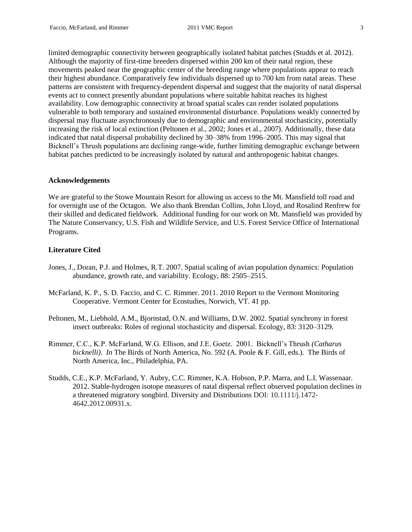limited demographic connectivity between geographically isolated habitat patches (Studds et al. 2012). Although the majority of first-time breeders dispersed within 200 km of their natal region, these movements peaked near the geographic center of the breeding range where populations appear to reach their highest abundance. Comparatively few individuals dispersed up to 700 km from natal areas. These patterns are consistent with frequency-dependent dispersal and suggest that the majority of natal dispersal events act to connect presently abundant populations where suitable habitat reaches its highest availability. Low demographic connectivity at broad spatial scales can render isolated populations vulnerable to both temporary and sustained environmental disturbance. Populations weakly connected by dispersal may fluctuate asynchronously due to demographic and environmental stochasticity, potentially increasing the risk of local extinction (Peltonen et al., 2002; Jones et al., 2007). Additionally, these data indicated that natal dispersal probability declined by 30–38% from 1996–2005. This may signal that Bicknell's Thrush populations are declining range-wide, further limiting demographic exchange between habitat patches predicted to be increasingly isolated by natural and anthropogenic habitat changes.

#### **Acknowledgements**

We are grateful to the Stowe Mountain Resort for allowing us access to the Mt. Mansfield toll road and for overnight use of the Octagon. We also thank Brendan Collins, John Lloyd, and Rosalind Renfrew for their skilled and dedicated fieldwork. Additional funding for our work on Mt. Mansfield was provided by The Nature Conservancy, U.S. Fish and Wildlife Service, and U.S. Forest Service Office of International Programs.

## **Literature Cited**

- Jones, J., Doran, P.J. and Holmes, R.T. 2007. Spatial scaling of avian population dynamics: Population abundance, growth rate, and variability. Ecology, 88: 2505–2515.
- McFarland, K. P., S. D. Faccio, and C. C. Rimmer. 2011. 2010 Report to the Vermont Monitoring Cooperative. Vermont Center for Ecostudies, Norwich, VT. 41 pp.
- Peltonen, M., Liebhold, A.M., Bjornstad, O.N. and Williams, D.W. 2002. Spatial synchrony in forest insect outbreaks: Roles of regional stochasticity and dispersal. Ecology, 83: 3120–3129.
- Rimmer, C.C., K.P. McFarland, W.G. Ellison, and J.E. Goetz. 2001. Bicknell's Thrush *(Catharus bicknelli)*. *In* The Birds of North America, No. 592 (A. Poole & F. Gill, eds.). The Birds of North America, Inc., Philadelphia, PA.
- Studds, C.E., K.P. McFarland, Y. Aubry, C.C. Rimmer, K.A. Hobson, P.P. Marra, and L.I. Wassenaar. 2012. Stable-hydrogen isotope measures of natal dispersal reflect observed population declines in a threatened migratory songbird. Diversity and Distributions DOI: 10.1111/j.1472- 4642.2012.00931.x.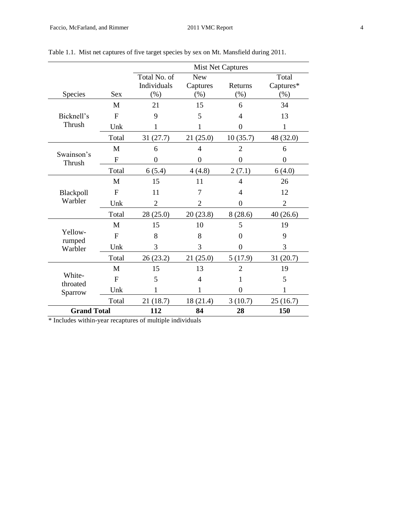|                    |                | <b>Mist Net Captures</b> |                  |                |                  |  |  |  |  |  |  |  |  |  |
|--------------------|----------------|--------------------------|------------------|----------------|------------------|--|--|--|--|--|--|--|--|--|
|                    |                | Total No. of             | <b>New</b>       |                | Total            |  |  |  |  |  |  |  |  |  |
|                    |                | Individuals              | Captures         | Returns        | Captures*        |  |  |  |  |  |  |  |  |  |
| Species            | <b>Sex</b>     | (% )                     | (%)              | $(\%)$         | (% )             |  |  |  |  |  |  |  |  |  |
|                    | M              | 21                       | 15               | 6              | 34               |  |  |  |  |  |  |  |  |  |
| Bicknell's         | $\mathbf{F}$   | 9                        | 5                | 4              | 13               |  |  |  |  |  |  |  |  |  |
| Thrush             | Unk            | 1                        | 1                | $\overline{0}$ | $\mathbf{1}$     |  |  |  |  |  |  |  |  |  |
|                    | Total          | 31(27.7)                 | 21(25.0)         | 10(35.7)       | 48 (32.0)        |  |  |  |  |  |  |  |  |  |
| Swainson's         | M              | 6                        | $\overline{4}$   | $\overline{2}$ | 6                |  |  |  |  |  |  |  |  |  |
| Thrush             | F              | $\boldsymbol{0}$         | $\boldsymbol{0}$ | $\overline{0}$ | $\boldsymbol{0}$ |  |  |  |  |  |  |  |  |  |
|                    | Total          | 6(5.4)                   | 4(4.8)           | 2(7.1)         | 6(4.0)           |  |  |  |  |  |  |  |  |  |
|                    | M              | 15                       | 11               | $\overline{4}$ | 26               |  |  |  |  |  |  |  |  |  |
| Blackpoll          | $\mathbf{F}$   | 11                       | 7                | 4              | 12               |  |  |  |  |  |  |  |  |  |
| Warbler            | Unk            | $\overline{2}$           | $\overline{2}$   | $\Omega$       | $\overline{2}$   |  |  |  |  |  |  |  |  |  |
|                    | Total          | 28 (25.0)                | 20(23.8)         | 8(28.6)        | 40(26.6)         |  |  |  |  |  |  |  |  |  |
|                    | M              | 15                       | 10               | 5              | 19               |  |  |  |  |  |  |  |  |  |
| Yellow-<br>rumped  | $\overline{F}$ | 8                        | 8                | $\Omega$       | 9                |  |  |  |  |  |  |  |  |  |
| Warbler            | Unk            | 3                        | 3                | $\theta$       | 3                |  |  |  |  |  |  |  |  |  |
|                    | Total          | 26 (23.2)                | 21(25.0)         | 5(17.9)        | 31(20.7)         |  |  |  |  |  |  |  |  |  |
|                    | M              | 15                       | 13               | $\overline{2}$ | 19               |  |  |  |  |  |  |  |  |  |
| White-<br>throated | $\overline{F}$ | 5                        | 4                | 1              | 5                |  |  |  |  |  |  |  |  |  |
| Sparrow            | Unk            | 1                        | 1                | $\overline{0}$ | 1                |  |  |  |  |  |  |  |  |  |
|                    | Total          | 21(18.7)                 | 18 (21.4)        | 3(10.7)        | 25(16.7)         |  |  |  |  |  |  |  |  |  |
| <b>Grand Total</b> |                | 112                      | 84               | 28             | 150              |  |  |  |  |  |  |  |  |  |

Table 1.1. Mist net captures of five target species by sex on Mt. Mansfield during 2011.

\* Includes within-year recaptures of multiple individuals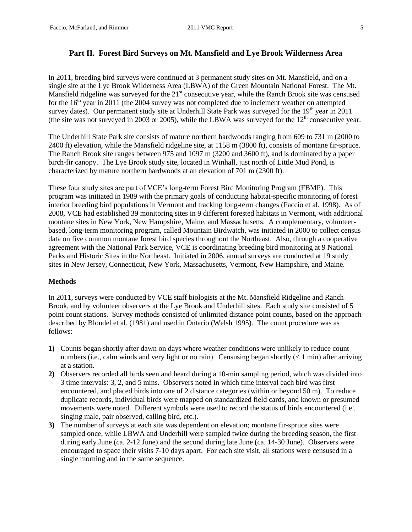## **Part II. Forest Bird Surveys on Mt. Mansfield and Lye Brook Wilderness Area**

In 2011, breeding bird surveys were continued at 3 permanent study sites on Mt. Mansfield, and on a single site at the Lye Brook Wilderness Area (LBWA) of the Green Mountain National Forest. The Mt. Mansfield ridgeline was surveyed for the 21<sup>st</sup> consecutive year, while the Ranch Brook site was censused for the  $16<sup>th</sup>$  year in 2011 (the 2004 survey was not completed due to inclement weather on attempted survey dates). Our permanent study site at Underhill State Park was surveyed for the  $19<sup>th</sup>$  year in 2011 (the site was not surveyed in 2003 or 2005), while the LBWA was surveyed for the  $12<sup>th</sup>$  consecutive year.

The Underhill State Park site consists of mature northern hardwoods ranging from 609 to 731 m (2000 to 2400 ft) elevation, while the Mansfield ridgeline site, at 1158 m (3800 ft), consists of montane fir-spruce. The Ranch Brook site ranges between 975 and 1097 m (3200 and 3600 ft), and is dominated by a paper birch-fir canopy. The Lye Brook study site, located in Winhall, just north of Little Mud Pond, is characterized by mature northern hardwoods at an elevation of 701 m (2300 ft).

These four study sites are part of VCE's long-term Forest Bird Monitoring Program (FBMP). This program was initiated in 1989 with the primary goals of conducting habitat-specific monitoring of forest interior breeding bird populations in Vermont and tracking long-term changes (Faccio et al. 1998). As of 2008, VCE had established 39 monitoring sites in 9 different forested habitats in Vermont, with additional montane sites in New York, New Hampshire, Maine, and Massachusetts. A complementary, volunteerbased, long-term monitoring program, called Mountain Birdwatch, was initiated in 2000 to collect census data on five common montane forest bird species throughout the Northeast. Also, through a cooperative agreement with the National Park Service, VCE is coordinating breeding bird monitoring at 9 National Parks and Historic Sites in the Northeast. Initiated in 2006, annual surveys are conducted at 19 study sites in New Jersey, Connecticut, New York, Massachusetts, Vermont, New Hampshire, and Maine.

## **Methods**

In 2011, surveys were conducted by VCE staff biologists at the Mt. Mansfield Ridgeline and Ranch Brook, and by volunteer observers at the Lye Brook and Underhill sites. Each study site consisted of 5 point count stations. Survey methods consisted of unlimited distance point counts, based on the approach described by Blondel et al. (1981) and used in Ontario (Welsh 1995). The count procedure was as follows:

- **1)** Counts began shortly after dawn on days where weather conditions were unlikely to reduce count numbers (i.e., calm winds and very light or no rain). Censusing began shortly  $(< 1$  min) after arriving at a station.
- **2)** Observers recorded all birds seen and heard during a 10-min sampling period, which was divided into 3 time intervals: 3, 2, and 5 mins. Observers noted in which time interval each bird was first encountered, and placed birds into one of 2 distance categories (within or beyond 50 m). To reduce duplicate records, individual birds were mapped on standardized field cards, and known or presumed movements were noted. Different symbols were used to record the status of birds encountered (i.e., singing male, pair observed, calling bird, etc.).
- **3)** The number of surveys at each site was dependent on elevation; montane fir-spruce sites were sampled once, while LBWA and Underhill were sampled twice during the breeding season, the first during early June (ca. 2-12 June) and the second during late June (ca. 14-30 June). Observers were encouraged to space their visits 7-10 days apart. For each site visit, all stations were censused in a single morning and in the same sequence.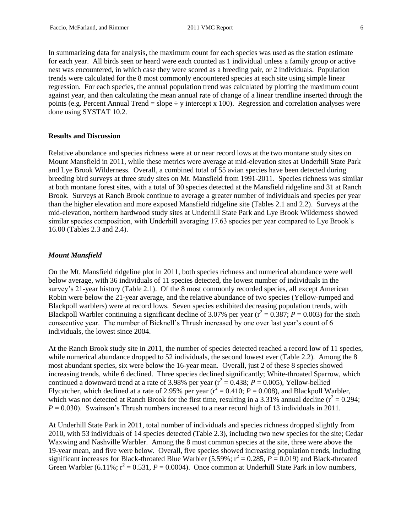In summarizing data for analysis, the maximum count for each species was used as the station estimate for each year. All birds seen or heard were each counted as 1 individual unless a family group or active nest was encountered, in which case they were scored as a breeding pair, or 2 individuals. Population trends were calculated for the 8 most commonly encountered species at each site using simple linear regression. For each species, the annual population trend was calculated by plotting the maximum count against year, and then calculating the mean annual rate of change of a linear trendline inserted through the points (e.g. Percent Annual Trend = slope  $\div$  y intercept x 100). Regression and correlation analyses were done using SYSTAT 10.2.

#### **Results and Discussion**

Relative abundance and species richness were at or near record lows at the two montane study sites on Mount Mansfield in 2011, while these metrics were average at mid-elevation sites at Underhill State Park and Lye Brook Wilderness. Overall, a combined total of 55 avian species have been detected during breeding bird surveys at three study sites on Mt. Mansfield from 1991-2011. Species richness was similar at both montane forest sites, with a total of 30 species detected at the Mansfield ridgeline and 31 at Ranch Brook. Surveys at Ranch Brook continue to average a greater number of individuals and species per year than the higher elevation and more exposed Mansfield ridgeline site (Tables 2.1 and 2.2). Surveys at the mid-elevation, northern hardwood study sites at Underhill State Park and Lye Brook Wilderness showed similar species composition, with Underhill averaging 17.63 species per year compared to Lye Brook's 16.00 (Tables 2.3 and 2.4).

## *Mount Mansfield*

On the Mt. Mansfield ridgeline plot in 2011, both species richness and numerical abundance were well below average, with 36 individuals of 11 species detected, the lowest number of individuals in the survey's 21-year history (Table 2.1). Of the 8 most commonly recorded species, all except American Robin were below the 21-year average, and the relative abundance of two species (Yellow-rumped and Blackpoll warblers) were at record lows. Seven species exhibited decreasing population trends, with Blackpoll Warbler continuing a significant decline of 3.07% per year  $(r^2 = 0.387; P = 0.003)$  for the sixth consecutive year. The number of Bicknell's Thrush increased by one over last year's count of 6 individuals, the lowest since 2004.

At the Ranch Brook study site in 2011, the number of species detected reached a record low of 11 species, while numerical abundance dropped to 52 individuals, the second lowest ever (Table 2.2). Among the 8 most abundant species, six were below the 16-year mean. Overall, just 2 of these 8 species showed increasing trends, while 6 declined. Three species declined significantly; White-throated Sparrow, which continued a downward trend at a rate of 3.98% per year ( $r^2 = 0.438$ ;  $P = 0.005$ ), Yellow-bellied Flycatcher, which declined at a rate of 2.95% per year  $(r^2 = 0.410; P = 0.008)$ , and Blackpoll Warbler, which was not detected at Ranch Brook for the first time, resulting in a 3.31% annual decline  $(r^2 = 0.294)$ ; *P* = 0.030). Swainson's Thrush numbers increased to a near record high of 13 individuals in 2011.

At Underhill State Park in 2011, total number of individuals and species richness dropped slightly from 2010, with 53 individuals of 14 species detected (Table 2.3), including two new species for the site; Cedar Waxwing and Nashville Warbler. Among the 8 most common species at the site, three were above the 19-year mean, and five were below. Overall, five species showed increasing population trends, including significant increases for Black-throated Blue Warbler (5.59%;  $r^2 = 0.285$ ,  $P = 0.019$ ) and Black-throated Green Warbler  $(6.11\%; r^2 = 0.531, P = 0.0004)$ . Once common at Underhill State Park in low numbers,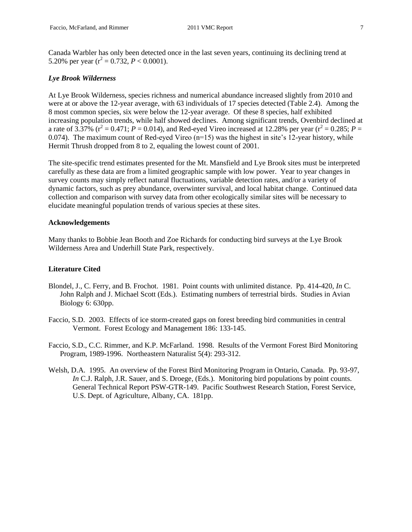Canada Warbler has only been detected once in the last seven years, continuing its declining trend at 5.20% per year  $(r^2 = 0.732, P < 0.0001)$ .

#### *Lye Brook Wilderness*

At Lye Brook Wilderness, species richness and numerical abundance increased slightly from 2010 and were at or above the 12-year average, with 63 individuals of 17 species detected (Table 2.4). Among the 8 most common species, six were below the 12-year average. Of these 8 species, half exhibited increasing population trends, while half showed declines. Among significant trends, Ovenbird declined at a rate of  $3.37\%$  ( $r^2 = 0.471$ ;  $P = 0.014$ ), and Red-eyed Vireo increased at 12.28% per year ( $r^2 = 0.285$ ;  $P =$ 0.074). The maximum count of Red-eyed Vireo  $(n=15)$  was the highest in site's 12-year history, while Hermit Thrush dropped from 8 to 2, equaling the lowest count of 2001.

The site-specific trend estimates presented for the Mt. Mansfield and Lye Brook sites must be interpreted carefully as these data are from a limited geographic sample with low power. Year to year changes in survey counts may simply reflect natural fluctuations, variable detection rates, and/or a variety of dynamic factors, such as prey abundance, overwinter survival, and local habitat change. Continued data collection and comparison with survey data from other ecologically similar sites will be necessary to elucidate meaningful population trends of various species at these sites.

## **Acknowledgements**

Many thanks to Bobbie Jean Booth and Zoe Richards for conducting bird surveys at the Lye Brook Wilderness Area and Underhill State Park, respectively.

## **Literature Cited**

- Blondel, J., C. Ferry, and B. Frochot. 1981. Point counts with unlimited distance. Pp. 414-420, *In* C. John Ralph and J. Michael Scott (Eds.). Estimating numbers of terrestrial birds. Studies in Avian Biology 6: 630pp.
- Faccio, S.D. 2003. Effects of ice storm-created gaps on forest breeding bird communities in central Vermont. Forest Ecology and Management 186: 133-145.
- Faccio, S.D., C.C. Rimmer, and K.P. McFarland. 1998. Results of the Vermont Forest Bird Monitoring Program, 1989-1996. Northeastern Naturalist 5(4): 293-312.
- Welsh, D.A. 1995. An overview of the Forest Bird Monitoring Program in Ontario, Canada. Pp. 93-97, *In* C.J. Ralph, J.R. Sauer, and S. Droege, (Eds.). Monitoring bird populations by point counts. General Technical Report PSW-GTR-149. Pacific Southwest Research Station, Forest Service, U.S. Dept. of Agriculture, Albany, CA. 181pp.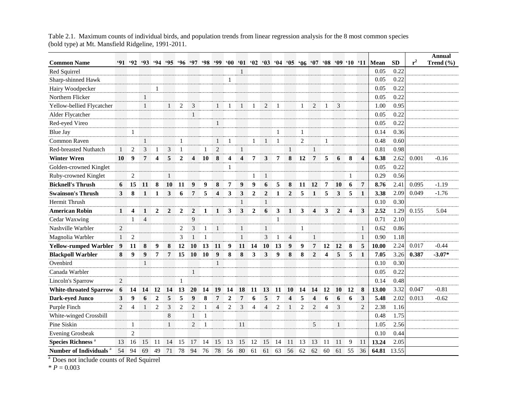|                                     |                |                         |                |                |                |                |                         |                                         |                         |                         |                         |                          |                |              |                         |                |                         |                  |              |                         |                         |                                                                              |           |       | <b>Annual</b> |
|-------------------------------------|----------------|-------------------------|----------------|----------------|----------------|----------------|-------------------------|-----------------------------------------|-------------------------|-------------------------|-------------------------|--------------------------|----------------|--------------|-------------------------|----------------|-------------------------|------------------|--------------|-------------------------|-------------------------|------------------------------------------------------------------------------|-----------|-------|---------------|
| <b>Common Name</b>                  | '91–           |                         |                |                |                |                |                         | $92$ $93$ $94$ $95$ $96$ $97$ $98$ $99$ |                         |                         |                         |                          |                |              |                         |                |                         |                  |              |                         |                         | $'00$ $'01$ $'02$ $'03$ $'04$ $'05$ $'06$ $'07$ $'08$ $'09$ $'10$ $'11$ Mean | <b>SD</b> | $r^2$ | Trend (%)     |
| Red Squirrel                        |                |                         |                |                |                |                |                         |                                         |                         |                         | $\mathbf{1}$            |                          |                |              |                         |                |                         |                  |              |                         |                         | 0.05                                                                         | 0.22      |       |               |
| Sharp-shinned Hawk                  |                |                         |                |                |                |                |                         |                                         |                         | 1                       |                         |                          |                |              |                         |                |                         |                  |              |                         |                         | 0.05                                                                         | 0.22      |       |               |
| Hairy Woodpecker                    |                |                         |                | 1              |                |                |                         |                                         |                         |                         |                         |                          |                |              |                         |                |                         |                  |              |                         |                         | 0.05                                                                         | 0.22      |       |               |
| Northern Flicker                    |                |                         | $\mathbf{1}$   |                |                |                |                         |                                         |                         |                         |                         |                          |                |              |                         |                |                         |                  |              |                         |                         | 0.05                                                                         | 0.22      |       |               |
| Yellow-bellied Flycatcher           |                |                         | $\mathbf{1}$   |                | $\mathbf{1}$   | $\overline{2}$ | 3                       |                                         | $\mathbf{1}$            |                         | 1                       |                          | $\overline{2}$ | -1           |                         | 1              | $\overline{2}$          | 1                | 3            |                         |                         | 1.00                                                                         | 0.95      |       |               |
| Alder Flycatcher                    |                |                         |                |                |                |                | $\mathbf{1}$            |                                         |                         |                         |                         |                          |                |              |                         |                |                         |                  |              |                         |                         | 0.05                                                                         | 0.22      |       |               |
| Red-eyed Vireo                      |                |                         |                |                |                |                |                         |                                         | $\mathbf{1}$            |                         |                         |                          |                |              |                         |                |                         |                  |              |                         |                         | 0.05                                                                         | 0.22      |       |               |
| <b>Blue Jay</b>                     |                | $\mathbf{1}$            |                |                |                |                |                         |                                         |                         |                         |                         |                          |                |              |                         | 1              |                         |                  |              |                         |                         | 0.14                                                                         | 0.36      |       |               |
| <b>Common Raven</b>                 |                |                         | $\mathbf{1}$   |                |                | $\mathbf{1}$   |                         |                                         | $\mathbf{1}$            | $\mathbf{1}$            |                         | $\mathbf{1}$             | $\mathbf{1}$   | $\mathbf{1}$ |                         | $\overline{2}$ |                         | $\mathbf{1}$     |              |                         |                         | 0.48                                                                         | 0.60      |       |               |
| <b>Red-breasted Nuthatch</b>        | 1              | 2                       | 3              | 1              | 3              | $\mathbf{1}$   |                         | 1                                       | $\overline{2}$          |                         | $\mathbf{1}$            |                          |                |              | $\mathbf{1}$            |                | $\mathbf{1}$            |                  |              |                         |                         | 0.81                                                                         | 0.98      |       |               |
| <b>Winter Wren</b>                  | 10             | 9                       | 7              | 4              | 5              | $\overline{2}$ | $\overline{\mathbf{4}}$ | 10                                      | 8                       | $\overline{\mathbf{4}}$ | $\overline{\mathbf{4}}$ | 7                        | 3              | 7            | 8                       | 12             | $\overline{7}$          | 5                | 6            | 8                       | $\overline{\mathbf{4}}$ | 6.38                                                                         | 2.62      | 0.001 | $-0.16$       |
| Golden-crowned Kinglet              |                |                         |                |                |                |                |                         |                                         |                         | 1                       |                         |                          |                |              |                         |                |                         |                  |              |                         |                         | 0.05                                                                         | 0.22      |       |               |
| Ruby-crowned Kinglet                |                | 2                       |                |                | $\mathbf{1}$   |                |                         |                                         |                         |                         |                         | 1                        | $\mathbf{1}$   |              |                         |                |                         |                  |              | 1                       |                         | 0.29                                                                         | 0.56      |       |               |
| <b>Bicknell's Thrush</b>            | 6              | 15                      | 11             | 8              | 10             | 11             | 9                       | 9                                       | 8                       | 7                       | $\boldsymbol{9}$        | 9                        | 6              | 5            | ${\bf 8}$               | 11             | 12                      | $\overline{7}$   | 10           | 6                       | $7\phantom{.}$          | 8.76                                                                         | 2.41      | 0.095 | $-1.19$       |
| <b>Swainson's Thrush</b>            | 3              | 8                       | $\mathbf{1}$   | 1              | 3              | 6              | $\overline{7}$          | 5                                       | $\overline{\mathbf{4}}$ | 3                       | 3                       | $\overline{2}$           | $\overline{2}$ | 1            | $\overline{2}$          | 5              | $\mathbf{1}$            | 5                | 3            | 5                       | $\mathbf{1}$            | 3.38                                                                         | 2.09      | 0.049 | $-1.76$       |
| Hermit Thrush                       |                |                         |                |                |                |                |                         |                                         |                         |                         | $\mathbf{1}$            |                          | $\mathbf{1}$   |              |                         |                |                         |                  |              |                         |                         | 0.10                                                                         | 0.30      |       |               |
| <b>American Robin</b>               | 1              | $\overline{\mathbf{4}}$ | $\mathbf{1}$   | $\mathbf{2}$   | $\overline{2}$ | $\mathbf{2}$   | $\overline{2}$          | 1                                       | 1                       | 3                       | 3                       | $\overline{2}$           | 6              | 3            | $\mathbf{1}$            | 3              | $\overline{\mathbf{4}}$ | 3                | $\mathbf{2}$ | $\overline{\mathbf{4}}$ | 3                       | 2.52                                                                         | 1.29      | 0.155 | 5.04          |
| Cedar Waxwing                       |                | 1                       | $\overline{4}$ |                |                |                | 9                       |                                         |                         |                         |                         |                          |                | $\mathbf{1}$ |                         |                |                         |                  |              |                         |                         | 0.71                                                                         | 2.10      |       |               |
| Nashville Warbler                   | 2              |                         |                |                |                | $\overline{2}$ | 3                       | 1                                       | $\mathbf{1}$            |                         | $\mathbf{1}$            |                          | 1              |              |                         | 1              |                         |                  |              |                         | 1                       | 0.62                                                                         | 0.86      |       |               |
| Magnolia Warbler                    | $\mathbf{1}$   | $\overline{2}$          |                |                |                | 3              | $\mathbf{1}$            |                                         |                         |                         | $\mathbf{1}$            |                          | 3              | $\mathbf{1}$ | $\overline{4}$          |                | $\mathbf{1}$            |                  |              |                         | $\mathbf{1}$            | 0.90                                                                         | 1.18      |       |               |
| <b>Yellow-rumped Warbler</b>        | 9              | 11                      | 8              | 9              | 8              | 12             | 10                      | 13                                      | 11                      | 9                       | 11                      | 14                       | 10             | 13           | 9                       | 9              | $\overline{7}$          | 12               | 12           | 8                       | 5                       | 10.00                                                                        | 2.24      | 0.017 | $-0.44$       |
| <b>Blackpoll Warbler</b>            | 8              | $\boldsymbol{9}$        | 9              | 7              | 7              | 15             | 10                      | 10                                      | $\boldsymbol{9}$        | 8                       | 8                       | 3                        | 3              | 9            | 8                       | 8              | $\overline{2}$          | $\boldsymbol{4}$ | 5            | 5                       | 1                       | 7.05                                                                         | 3.26      | 0.387 | $-3.07*$      |
| Ovenbird                            |                |                         | $\mathbf{1}$   |                |                |                |                         |                                         | $\mathbf{1}$            |                         |                         |                          |                |              |                         |                |                         |                  |              |                         |                         | 0.10                                                                         | 0.30      |       |               |
| Canada Warbler                      |                |                         |                |                |                |                | $\mathbf{1}$            |                                         |                         |                         |                         |                          |                |              |                         |                |                         |                  |              |                         |                         | 0.05                                                                         | 0.22      |       |               |
| Lincoln's Sparrow                   | 2              |                         |                |                |                | 1              |                         |                                         |                         |                         |                         |                          |                |              |                         |                |                         |                  |              |                         |                         | 0.14                                                                         | 0.48      |       |               |
| <b>White-throated Sparrow</b>       | 6              | 14                      | 14             | 12             | 14             | 13             | 20                      | 14                                      | 19                      | 14                      | 18                      | 11                       | 13             | 11           | 10                      | 14             | 14                      | 12               | 10           | 12                      | 8                       | 13.00                                                                        | 3.32      | 0.047 | $-0.81$       |
| Dark-eyed Junco                     | 3              | $\boldsymbol{9}$        | 6              | $\overline{2}$ | 5              | 5              | 9                       | 8                                       | 7                       | $\overline{2}$          | $\overline{7}$          | 6                        | 5              | 7            | $\overline{\mathbf{4}}$ | 5              | $\overline{\mathbf{4}}$ | 6                | 6            | 6                       | 3                       | 5.48                                                                         | 2.02      | 0.013 | $-0.62$       |
| Purple Finch                        | $\mathfrak{D}$ | $\overline{4}$          | $\mathbf{1}$   | $\overline{2}$ | 3              | $\overline{2}$ | 2                       | $\mathbf{1}$                            | $\overline{4}$          | $\overline{2}$          | 3                       | $\overline{\mathcal{A}}$ | $\overline{4}$ | 2            | $\mathbf{1}$            | $\overline{2}$ | $\overline{2}$          | $\overline{4}$   | 3            |                         | $\mathfrak{D}$          | 2.38                                                                         | 1.16      |       |               |
| White-winged Crossbill              |                |                         |                |                | 8              |                | 1                       | $\mathbf{1}$                            |                         |                         |                         |                          |                |              |                         |                |                         |                  |              |                         |                         | 0.48                                                                         | 1.75      |       |               |
| Pine Siskin                         |                | $\mathbf{1}$            |                |                | $\mathbf{1}$   |                | 2                       | $\mathbf{1}$                            |                         |                         | 11                      |                          |                |              |                         |                | 5                       |                  | $\mathbf{1}$ |                         |                         | 1.05                                                                         | 2.56      |       |               |
| <b>Evening Grosbeak</b>             |                | $\overline{2}$          |                |                |                |                |                         |                                         |                         |                         |                         |                          |                |              |                         |                |                         |                  |              |                         |                         | 0.10                                                                         | 0.44      |       |               |
| <b>Species Richness<sup>a</sup></b> | 13             | 16                      | 15             | 11             | 14             | 15             | 17                      | 14                                      | 15                      | 13                      | 15                      | 12                       | 15             | 14           | 11                      | 13             | 13                      | -11              | 11           | 9                       | 11                      | 13.24                                                                        | 2.05      |       |               |
| Number of Individuals <sup>a</sup>  | 54             | 94                      | 69             | 49             | 71             | 78             | 94                      | 76                                      | 78                      | 56                      | 80                      | 61                       | 61             | 63           | 56                      | 62             | 62                      | 60               | 61           | 55                      | 36                      | 64.81                                                                        | 13.55     |       |               |

Table 2.1. Maximum counts of individual birds, and population trends from linear regression analysis for the 8 most common species (bold type) at Mt. Mansfield Ridgeline, 1991-2011.

<sup>a</sup> Does not include counts of Red Squirrel

 $* P = 0.003$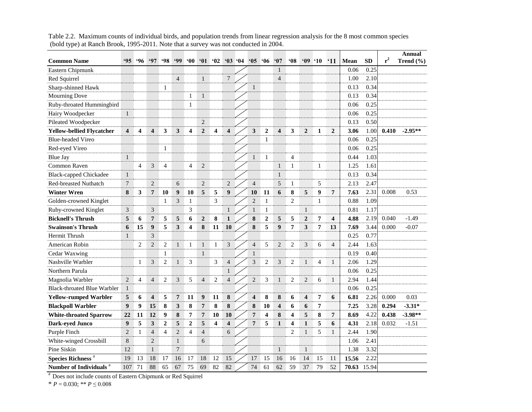| <b>Common Name</b>                  | .95                     | .96            | .97                     | 98 | 99             | $60^\circ$   | 61               | 62             |                         | $03 \t04$ | $^{\circ}05$            | '06              | 67                      | <b>MO</b>      | '09'10                  |                | $^{\circ}11$   | <b>Mean</b> | <b>SD</b> | $r^2$ | Annual<br>Trend $(\% )$ |
|-------------------------------------|-------------------------|----------------|-------------------------|----|----------------|--------------|------------------|----------------|-------------------------|-----------|-------------------------|------------------|-------------------------|----------------|-------------------------|----------------|----------------|-------------|-----------|-------|-------------------------|
| Eastern Chipmunk                    |                         |                |                         |    |                |              |                  |                |                         |           |                         |                  | 1                       |                |                         |                |                | 0.06        | 0.25      |       |                         |
| Red Squirrel                        |                         |                |                         |    | $\overline{4}$ |              | $\mathbf{1}$     |                | 7                       |           |                         |                  | $\overline{4}$          |                |                         |                |                | 1.00        | 2.10      |       |                         |
| Sharp-shinned Hawk                  |                         |                |                         | 1  |                |              |                  |                |                         |           | $\mathbf{1}$            |                  |                         |                |                         |                |                | 0.13        | 0.34      |       |                         |
| <b>Mourning Dove</b>                |                         |                |                         |    |                | 1            | $\mathbf{1}$     |                |                         |           |                         |                  |                         |                |                         |                |                | 0.13        | 0.34      |       |                         |
| Ruby-throated Hummingbird           |                         |                |                         |    |                | $\mathbf{1}$ |                  |                |                         |           |                         |                  |                         |                |                         |                |                | 0.06        | 0.25      |       |                         |
| Hairy Woodpecker                    | $\mathbf{1}$            |                |                         |    |                |              |                  |                |                         |           |                         |                  |                         |                |                         |                |                | 0.06        | 0.25      |       |                         |
| Pileated Woodpecker                 |                         |                |                         |    |                |              | $\overline{2}$   |                |                         |           |                         |                  |                         |                |                         |                |                | 0.13        | 0.50      |       |                         |
| <b>Yellow-bellied Flycatcher</b>    | $\overline{\mathbf{4}}$ | 4              | $\overline{\mathbf{4}}$ | 3  | 3              | 4            | $\overline{2}$   | 4              | $\overline{\mathbf{4}}$ |           | 3                       | $\overline{2}$   | $\overline{\mathbf{4}}$ | 3              | $\overline{2}$          | 1              | $\overline{2}$ | 3.06        | 1.00      | 0.410 | $-2.95**$               |
| <b>Blue-headed Vireo</b>            |                         |                |                         |    |                |              |                  |                |                         |           |                         | 1                |                         |                |                         |                |                | 0.06        | 0.25      |       |                         |
| Red-eyed Vireo                      |                         |                |                         | 1  |                |              |                  |                |                         |           |                         |                  |                         |                |                         |                |                | 0.06        | 0.25      |       |                         |
| <b>Blue Jay</b>                     | $\mathbf{1}$            |                |                         |    |                |              |                  |                |                         |           | $\mathbf{1}$            | 1                |                         | 4              |                         |                |                | 0.44        | 1.03      |       |                         |
| <b>Common Raven</b>                 |                         | $\overline{4}$ | 3                       | 4  |                | 4            | $\sqrt{2}$       |                |                         |           |                         |                  | $\mathbf{1}$            | 1              |                         | 1              |                | 1.25        | 1.61      |       |                         |
| <b>Black-capped Chickadee</b>       | $\mathbf{1}$            |                |                         |    |                |              |                  |                |                         |           |                         |                  | $\mathbf{1}$            |                |                         |                |                | 0.13        | 0.34      |       |                         |
| Red-breasted Nuthatch               | $\overline{7}$          |                | 2                       |    | 6              |              | $\overline{2}$   |                | $\overline{2}$          |           | $\overline{4}$          |                  | 5                       | 1              |                         | 5              |                | 2.13        | 2.47      |       |                         |
| <b>Winter Wren</b>                  | 8                       | 3              | $\overline{7}$          | 10 | 9              | 10           | 5                | 5              | 9                       |           | 10                      | 11               | 6                       | 8              | $\sqrt{5}$              | 9              | $7\phantom{.}$ | 7.63        | 2.31      | 0.008 | 0.53                    |
| Golden-crowned Kinglet              |                         |                |                         | 1  | 3              | $\mathbf{1}$ |                  | 3              |                         |           | $\overline{2}$          | $\mathbf{1}$     |                         | 2              |                         | 1              |                | 0.88        | 1.09      |       |                         |
| Ruby-crowned Kinglet                | 3                       |                | $\mathfrak{Z}$          |    |                | 3            |                  |                | $\mathbf{1}$            |           | $\mathbf{1}$            | 1                |                         |                | $\mathbf{1}$            |                |                | 0.81        | 1.17      |       |                         |
| <b>Bicknell's Thrush</b>            | 5                       | 6              | 7                       | 5  | 5              | 6            | $\overline{2}$   | 8              | $\mathbf{1}$            |           | 8                       | $\boldsymbol{2}$ | 5                       | 5              | $\overline{2}$          | $\overline{7}$ | 4              | 4.88        | 2.19      | 0.040 | $-1.49$                 |
| <b>Swainson's Thrush</b>            | 6                       | 15             | 9                       | 5  | 3              | 4            | 8                | 11             | 10                      |           | 8                       | 5                | 9                       | $\pmb{7}$      | 3                       | $\overline{7}$ | 13             | 7.69        | 3.44      | 0.000 | $-0.07$                 |
| Hermit Thrush                       | 1                       |                | 3                       |    |                |              |                  |                |                         |           |                         |                  |                         |                |                         |                |                | 0.25        | 0.77      |       |                         |
| American Robin                      |                         | $\overline{c}$ | $\overline{2}$          | 2  | 1              | 1            | $\mathbf{1}$     | 1              | 3                       |           | $\overline{4}$          | 5                | $\overline{2}$          | $\overline{c}$ | 3                       | 6              | $\overline{4}$ | 2.44        | 1.63      |       |                         |
| Cedar Waxwing                       |                         |                |                         | 1  |                |              | $\mathbf{1}$     |                |                         |           | 1                       |                  |                         |                |                         |                |                | 0.19        | 0.40      |       |                         |
| Nashville Warbler                   |                         | 1              | 3                       | 2  | 1              | 3            |                  | 3              | $\overline{4}$          |           | 3                       | $\overline{2}$   | 3                       | 2              | $\mathbf{1}$            | $\overline{4}$ | $\mathbf{1}$   | 2.06        | 1.29      |       |                         |
| Northern Parula                     |                         |                |                         |    |                |              |                  |                | 1                       |           |                         |                  |                         |                |                         |                |                | 0.06        | 0.25      |       |                         |
| Magnolia Warbler                    | $\overline{2}$          | $\overline{4}$ | $\overline{4}$          | 2  | 3              | 5            | $\overline{4}$   | $\overline{2}$ | $\overline{4}$          |           | $\overline{2}$          | 3                | $\mathbf{1}$            | 2              | $\overline{2}$          | 6              | $\mathbf{1}$   | 2.94        | 1.44      |       |                         |
| <b>Black-throated Blue Warbler</b>  | $\mathbf{1}$            |                |                         |    |                |              |                  |                |                         |           |                         |                  |                         |                |                         |                |                | 0.06        | 0.25      |       |                         |
| <b>Yellow-rumped Warbler</b>        | 5                       | 6              | $\overline{\mathbf{4}}$ | 5  | $\overline{7}$ | 11           | $\boldsymbol{9}$ | 11             | 8                       |           | $\overline{\mathbf{4}}$ | 8                | 8                       | 6              | $\overline{\mathbf{4}}$ | 7              | 6              | 6.81        | 2.26      | 0.000 | 0.03                    |
| <b>Blackpoll Warbler</b>            | $\boldsymbol{9}$        | 9              | 15                      | 8  | 3              | 8            | $\overline{7}$   | 8              | 8                       |           | 8                       | 10               | 4                       | 6              | 6                       | 7              |                | 7.25        | 3.28      | 0.294 | $-3.31*$                |
| <b>White-throated Sparrow</b>       | 22                      | 11             | 12                      | 9  | 8              | 7            | $\overline{7}$   | 10             | 10                      |           | $\overline{7}$          | 4                | 8                       | 4              | 5                       | 8              | $\overline{7}$ | 8.69        | 4.22      | 0.438 | $-3.98**$               |
| Dark-eyed Junco                     | 9                       | 5              | 3                       | 2  | 5              | 2            | 5                | 4              | 4                       |           | 7                       | 5                | $\mathbf{1}$            | 4              | $\mathbf{1}$            | 5              | 6              | 4.31        | 2.18      | 0.032 | $-1.51$                 |
| Purple Finch                        | $\overline{2}$          | $\mathbf{1}$   | $\overline{4}$          | 4  | $\overline{2}$ | 4            | $\overline{4}$   |                | 6                       |           |                         |                  |                         | $\overline{2}$ | $\mathbf{1}$            | 5              | $\mathbf{1}$   | 2.44        | 1.90      |       |                         |
| White-winged Crossbill              | 8                       |                | $\overline{2}$          |    | 1              |              | 6                |                |                         |           |                         |                  |                         |                |                         |                |                | 1.06        | 2.41      |       |                         |
| Pine Siskin                         | 12                      |                | $\mathbf{1}$            |    | 7              |              |                  |                |                         |           |                         |                  | $\mathbf{1}$            |                | $\mathbf{1}$            |                |                | 1.38        | 3.32      |       |                         |
| <b>Species Richness<sup>a</sup></b> | 19                      | 13             | 18                      | 17 | 16             | 17           | 18               | 12             | 15                      |           | 17                      | 15               | 16                      | 16             | 14                      | 15             | 11             | 15.56       | 2.22      |       |                         |
| Number of Individuals <sup>a</sup>  | 107                     | 71             | 88                      | 65 | 67             | 75           | 69               | 82             | 82                      |           | 74                      | 61               | 62                      | 59             | 37                      | 79             | 52             | 70.63       | 15.94     |       |                         |

Table 2.2. Maximum counts of individual birds, and population trends from linear regression analysis for the 8 most common species (bold type) at Ranch Brook, 1995-2011. Note that a survey was not conducted in 2004.

<sup>a</sup> Does not include counts of Eastern Chipmunk or Red Squirrel

 $*$  *P* = 0.030; \*\* *P*  $\leq$  0.008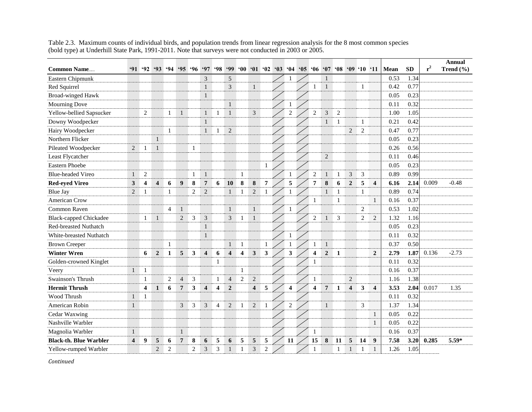| <b>Common Name</b>            |                         | $91 \t92$               |                         | $93 \t94$      |                | 95.96          | <b>'97</b>              | $^{\circ}98$   | <b>99</b>               | $60^\circ$              | $01 \t02$               |                | $\cdot$ 03 | 64                      | $05 \t06$ |                         | $07 \t08$        |                |                         | '09'10         | $^{\circ}11$            | Mean | <b>SD</b> | $r^2$ | <b>Annual</b><br>Trend $(\% )$ |
|-------------------------------|-------------------------|-------------------------|-------------------------|----------------|----------------|----------------|-------------------------|----------------|-------------------------|-------------------------|-------------------------|----------------|------------|-------------------------|-----------|-------------------------|------------------|----------------|-------------------------|----------------|-------------------------|------|-----------|-------|--------------------------------|
| Eastern Chipmunk              |                         |                         |                         |                |                |                | 3                       |                | 5                       |                         |                         |                |            |                         |           |                         |                  |                |                         |                |                         | 0.53 | 1.34      |       |                                |
| Red Squirrel                  |                         |                         |                         |                |                |                | $\mathbf{1}$            |                | 3                       |                         | $\mathbf{1}$            |                |            |                         |           | 1                       |                  |                |                         | $\mathbf{1}$   |                         | 0.42 | 0.77      |       |                                |
| <b>Broad-winged Hawk</b>      |                         |                         |                         |                |                |                | $\mathbf{1}$            |                |                         |                         |                         |                |            |                         |           |                         |                  |                |                         |                |                         | 0.05 | 0.23      |       |                                |
| <b>Mourning Dove</b>          |                         |                         |                         |                |                |                |                         |                | $\mathbf{1}$            |                         |                         |                |            |                         |           |                         |                  |                |                         |                |                         | 0.11 | 0.32      |       |                                |
| Yellow-bellied Sapsucker      |                         | 2                       |                         | $\mathbf{1}$   | $\mathbf{1}$   |                | $\mathbf{1}$            | 1              | $\mathbf{1}$            |                         | 3                       |                |            | $\overline{2}$          |           | $\overline{2}$          | 3                | $\overline{c}$ |                         |                |                         | 1.00 | 1.05      |       |                                |
| Downy Woodpecker              |                         |                         |                         |                |                |                | $\mathbf{1}$            |                |                         |                         |                         |                |            |                         |           |                         |                  | $\mathbf{1}$   |                         | $\mathbf{1}$   |                         | 0.21 | 0.42      |       |                                |
| Hairy Woodpecker              |                         |                         |                         | 1              |                |                | $\mathbf{1}$            | 1              | $\overline{c}$          |                         |                         |                |            |                         |           |                         |                  |                | $\overline{2}$          | $\overline{2}$ |                         | 0.47 | 0.77      |       |                                |
| Northern Flicker              |                         |                         | $\mathbf{1}$            |                |                |                |                         |                |                         |                         |                         |                |            |                         |           |                         |                  |                |                         |                |                         | 0.05 | 0.23      |       |                                |
| Pileated Woodpecker           | 2                       |                         | $\mathbf{1}$            |                |                | $\mathbf{1}$   |                         |                |                         |                         |                         |                |            |                         |           |                         |                  |                |                         |                |                         | 0.26 | 0.56      |       |                                |
| Least Flycatcher              |                         |                         |                         |                |                |                |                         |                |                         |                         |                         |                |            |                         |           |                         | $\overline{c}$   |                |                         |                |                         | 0.11 | 0.46      |       |                                |
| Eastern Phoebe                |                         |                         |                         |                |                |                |                         |                |                         |                         |                         | $\mathbf{1}$   |            |                         |           |                         |                  |                |                         |                |                         | 0.05 | 0.23      |       |                                |
| <b>Blue-headed Vireo</b>      | $\mathbf{1}$            | $\mathbf{2}$            |                         |                |                | $\mathbf{1}$   | $\mathbf{1}$            |                |                         | $\mathbf{1}$            |                         |                |            |                         |           | $\overline{2}$          | $\mathbf{1}$     | $\mathbf{1}$   | 3                       | 3              |                         | 0.89 | 0.99      |       |                                |
| <b>Red-eyed Vireo</b>         | $\mathbf{3}$            | $\overline{\mathbf{4}}$ | $\overline{\mathbf{4}}$ | 6              | 9              | 8              | $\overline{7}$          | 6              | 10                      | ${\bf 8}$               | $\bf 8$                 | $\overline{7}$ |            | 5                       |           | $\overline{7}$          | 8                | 6              | $\overline{2}$          | 5              | $\overline{\mathbf{4}}$ | 6.16 | 2.14      | 0.009 | $-0.48$                        |
| <b>Blue Jay</b>               | $\overline{2}$          | 1                       |                         | 1              |                | $\overline{2}$ | $\sqrt{2}$              |                | $\mathbf{1}$            | $\mathbf{1}$            | $\mathbf{2}$            | 1              |            |                         |           |                         |                  | 1              |                         | $\mathbf{1}$   |                         | 0.89 | 0.74      |       |                                |
| <b>American Crow</b>          |                         |                         |                         |                |                |                |                         |                |                         |                         |                         |                |            |                         |           | 1                       |                  | $\mathbf{1}$   |                         |                | 1                       | 0.16 | 0.37      |       |                                |
| Common Raven                  |                         |                         |                         | $\overline{4}$ | $\mathbf{1}$   |                |                         |                | $\mathbf{1}$            |                         | $\mathbf{1}$            |                |            | 1                       |           |                         |                  |                |                         | $\overline{2}$ |                         | 0.53 | 1.02      |       |                                |
| <b>Black-capped Chickadee</b> |                         | 1                       | $\mathbf{1}$            |                | $\sqrt{2}$     | 3              | 3                       |                | 3                       | 1                       | $\mathbf{1}$            |                |            |                         |           | $\mathbf{2}$            |                  | 3              |                         | $\mathbf{2}$   | $\mathbf{2}$            | 1.32 | 1.16      |       |                                |
| Red-breasted Nuthatch         |                         |                         |                         |                |                |                | $\mathbf{1}$            |                |                         |                         |                         |                |            |                         |           |                         |                  |                |                         |                |                         | 0.05 | 0.23      |       |                                |
| White-breasted Nuthatch       |                         |                         |                         |                |                |                | $\mathbf{1}$            |                |                         |                         |                         |                |            |                         |           |                         |                  |                |                         |                |                         | 0.11 | 0.32      |       |                                |
| <b>Brown Creeper</b>          |                         |                         |                         | $\mathbf{1}$   |                |                |                         |                | $\mathbf{1}$            | $\mathbf{1}$            |                         | $\mathbf{1}$   |            |                         |           | -1                      | $\mathbf{1}$     |                |                         |                |                         | 0.37 | 0.50      |       |                                |
| <b>Winter Wren</b>            |                         | 6                       | $\overline{2}$          | 1              | 5              | 3              | $\overline{\mathbf{4}}$ | 6              | $\overline{\mathbf{4}}$ | $\overline{\mathbf{4}}$ | $\mathbf{3}$            | 3              |            | 3                       |           | 4                       | $\boldsymbol{2}$ | 1              |                         |                | $\overline{2}$          | 2.79 | 1.87      | 0.136 | $-2.73$                        |
| Golden-crowned Kinglet        |                         |                         |                         |                |                |                |                         | 1              |                         |                         |                         |                |            |                         |           | 1                       |                  |                |                         |                |                         | 0.11 | 0.32      |       |                                |
| Veery                         | $\mathbf{1}$            | $\mathbf{1}$            |                         |                |                |                |                         |                |                         | $\mathbf{1}$            |                         |                |            |                         |           |                         |                  |                |                         |                |                         | 0.16 | 0.37      |       |                                |
| Swainson's Thrush             |                         | 1                       |                         | $\overline{c}$ | $\overline{4}$ | $\mathfrak{Z}$ |                         | 1              | $\overline{4}$          | $\overline{2}$          | $\sqrt{2}$              |                |            |                         |           | 1                       |                  |                | $\sqrt{2}$              |                |                         | 1.16 | 1.38      |       |                                |
| <b>Hermit Thrush</b>          |                         | 4                       | $\mathbf{1}$            | 6              | $\overline{7}$ | 3              | $\overline{\mathbf{4}}$ | $\overline{4}$ | $\boldsymbol{2}$        |                         | $\overline{\mathbf{4}}$ | 5              |            | $\overline{\mathbf{4}}$ |           | $\overline{\mathbf{4}}$ | $7\overline{ }$  | 1              | $\overline{\mathbf{4}}$ | 3              | $\overline{\mathbf{4}}$ | 3.53 | 2.04      | 0.017 | 1.35                           |
| Wood Thrush                   | 1                       | $\mathbf{1}$            |                         |                |                |                |                         |                |                         |                         |                         |                |            |                         |           |                         |                  |                |                         |                |                         | 0.11 | 0.32      |       |                                |
| American Robin                | 1                       |                         |                         |                | 3              | 3              | 3                       | $\overline{4}$ | $\sqrt{2}$              | -1                      | $\sqrt{2}$              | $\mathbf{1}$   |            | $\overline{2}$          |           |                         | $\mathbf{1}$     |                |                         | 3              |                         | 1.37 | 1.34      |       |                                |
| Cedar Waxwing                 |                         |                         |                         |                |                |                |                         |                |                         |                         |                         |                |            |                         |           |                         |                  |                |                         |                | $\mathbf{1}$            | 0.05 | 0.22      |       |                                |
| Nashville Warbler             |                         |                         |                         |                |                |                |                         |                |                         |                         |                         |                |            |                         |           |                         |                  |                |                         |                | 1                       | 0.05 | 0.22      |       |                                |
| Magnolia Warbler              | $\mathbf{1}$            |                         |                         |                | $\mathbf{1}$   |                |                         |                |                         |                         |                         |                |            |                         |           | $\mathbf{1}$            |                  |                |                         |                |                         | 0.16 | 0.37      |       |                                |
| <b>Black-th. Blue Warbler</b> | $\overline{\mathbf{4}}$ | 9                       | 5                       | 6              | $\overline{7}$ | 8              | 6                       | 5              | 6                       | 5                       | $\sqrt{5}$              | 5              |            | 11                      |           | 15                      | ${\bf 8}$        | 11             | 5                       | 14             | 9                       | 7.58 | 3.20      | 0.285 | 5.59*                          |
| Yellow-rumped Warbler         |                         |                         | $\sqrt{2}$              | $\sqrt{2}$     |                | $\overline{2}$ | $\mathfrak{Z}$          | 3              | $\mathbf{1}$            | $\mathbf{1}$            | 3                       | $\sqrt{2}$     |            |                         |           |                         |                  | $\mathbf{1}$   |                         |                | $\mathbf{1}$            | 1.26 | 1.05      |       |                                |

Table 2.3. Maximum counts of individual birds, and population trends from linear regression analysis for the 8 most common species (bold type) at Underhill State Park, 1991-2011. Note that surveys were not conducted in 2003 or 2005.

*Continued*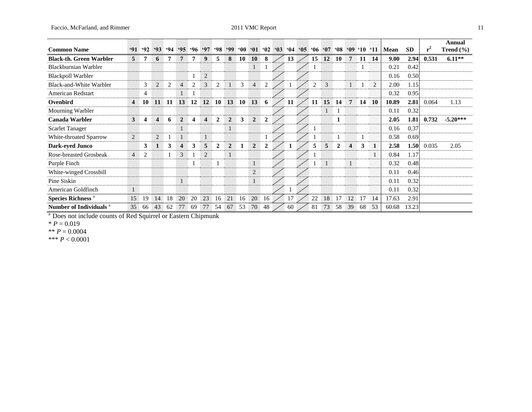| <b>Common Name</b>                 | 91             | 92 | 93                      | $-94$ | $^{\circ}95$   | .96 | .97            | 98             | .99            | $^{\circ}00$ | 61             | $^{\circ}02$ | $^{\circ}03$ | $^{\circ}04$ | $^{\circ}05$ | .06 <sub>1</sub> |           | $07 \t08$        |                         | $'09 \t10 \t11$ |    | Mean  | <b>SD</b> | $r^2$ | Annual<br>Trend $(\% )$ |
|------------------------------------|----------------|----|-------------------------|-------|----------------|-----|----------------|----------------|----------------|--------------|----------------|--------------|--------------|--------------|--------------|------------------|-----------|------------------|-------------------------|-----------------|----|-------|-----------|-------|-------------------------|
| <b>Black-th. Green Warbler</b>     | 5              | 7  | 6                       |       |                |     | 9              | 5              | 8              | 10           | <b>10</b>      | 8            |              | 13           |              | 15               | <b>12</b> | 10               | $\overline{7}$          | -11             | 14 | 9.00  | 2.94      | 0.531 | $6.11**$                |
| Blackburnian Warbler               |                |    |                         |       |                |     |                |                |                |              | $\mathbf{1}$   |              |              |              |              |                  |           |                  |                         |                 |    | 0.21  | 0.42      |       |                         |
| <b>Blackpoll Warbler</b>           |                |    |                         |       |                |     | 2              |                |                |              |                |              |              |              |              |                  |           |                  |                         |                 |    | 0.16  | 0.50      |       |                         |
| Black-and-White Warbler            |                | 3  | 2                       | 2     | 4              | 2   | 3              | 2              |                | 3            | $\overline{4}$ | 2            |              |              |              | 2                | 3         |                  | $\mathbf{1}$            |                 | 2  | 2.00  | 1.15      |       |                         |
| <b>American Redstart</b>           |                | 4  |                         |       |                |     |                |                |                |              |                |              |              |              |              |                  |           |                  |                         |                 |    | 0.32  | 0.95      |       |                         |
| Ovenbird                           | $\overline{4}$ | 10 | <b>11</b>               | -11   | 13             | 12  | <b>12</b>      | 10             | 13             | 10           | 13             | 6            |              | 11           |              | 11               | 15        | 14               | $\overline{7}$          | 14              | 10 | 10.89 | 2.81      | 0.064 | 1.13                    |
| Mourning Warbler                   |                |    |                         |       |                |     |                |                |                |              |                |              |              |              |              |                  | 1         | 1                |                         |                 |    | 0.11  | 0.32      |       |                         |
| <b>Canada Warbler</b>              | $\mathbf{3}$   | 4  | $\overline{\mathbf{4}}$ | 6     | $\overline{2}$ |     | 4              | $\mathbf{2}$   | $\overline{2}$ | 3            | $\overline{2}$ | $\mathbf{2}$ |              |              |              |                  |           | 1                |                         |                 |    | 2.05  | 1.81      | 0.732 | $-5.20***$              |
| <b>Scarlet Tanager</b>             |                |    |                         |       |                |     |                |                | L              |              |                |              |              |              |              |                  |           |                  |                         |                 |    | 0.16  | 0.37      |       |                         |
| White-throated Sparrow             | 2              |    | 2                       |       |                |     | $\mathbf{1}$   |                |                |              |                |              |              |              |              |                  |           |                  |                         |                 |    | 0.58  | 0.69      |       |                         |
| <b>Dark-eyed Junco</b>             |                | 3  | $\mathbf{1}$            | 3     | 4              | 3   | 5              | $\overline{2}$ | $\overline{2}$ |              | $\overline{2}$ | $\mathbf{2}$ |              |              |              | 5                | 5         | $\boldsymbol{2}$ | $\overline{\mathbf{4}}$ | 3               | 1  | 2.58  | 1.50      | 0.035 | 2.05                    |
| Rose-breasted Grosbeak             | $\overline{4}$ | 2  |                         |       | 3              |     | $\overline{2}$ |                | $\mathbf{1}$   |              |                |              |              |              |              |                  |           |                  |                         |                 | 1  | 0.84  | 1.17      |       |                         |
| Purple Finch                       |                |    |                         |       |                |     |                |                |                |              | $\mathbf{1}$   |              |              |              |              |                  |           |                  | $\mathbf{1}$            |                 |    | 0.32  | 0.48      |       |                         |
| White-winged Crossbill             |                |    |                         |       |                |     |                |                |                |              | $\overline{c}$ |              |              |              |              |                  |           |                  |                         |                 |    | 0.11  | 0.46      |       |                         |
| Pine Siskin                        |                |    |                         |       |                |     |                |                |                |              | $\mathbf{1}$   |              |              |              |              |                  |           |                  |                         |                 |    | 0.11  | 0.32      |       |                         |
| American Goldfinch                 |                |    |                         |       |                |     |                |                |                |              |                |              |              |              |              |                  |           |                  |                         |                 |    | 0.11  | 0.32      |       |                         |
| Species Richness <sup>a</sup>      | 15             | 19 | 14                      | 18    | 20             | 20  | 23             | 16             | 21             | 16           | 20             | 16           |              | 17           |              | 22               | 18        | 17               | 12                      | 17              | 14 | 17.63 | 2.91      |       |                         |
| Number of Individuals <sup>a</sup> | 35             | 66 | 43                      | 62    | 77             | 69  | 77             | 54             | 67             | 53           | 70             | 48           |              | 60           |              | 81               | 73        | 58               | 39                      | 68              | 53 | 60.68 | 13.23     |       |                         |

<sup>a</sup> Does not include counts of Red Squirrel or Eastern Chipmunk

 $* P = 0.019$ 

\*\*  $P = 0.0004$ 

\*\*\* *P* < 0.0001